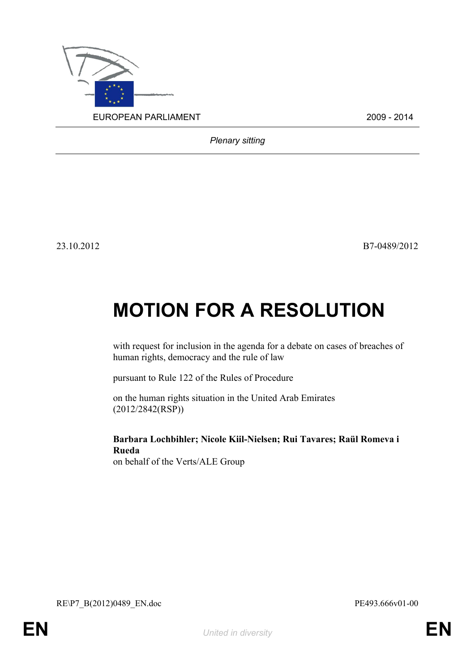

*Plenary sitting*

23.10.2012 B7-0489/2012

## **MOTION FOR A RESOLUTION**

with request for inclusion in the agenda for a debate on cases of breaches of human rights, democracy and the rule of law

pursuant to Rule 122 of the Rules of Procedure

on the human rights situation in the United Arab Emirates (2012/2842(RSP))

**Barbara Lochbihler; Nicole Kiil-Nielsen; Rui Tavares; Raül Romeva i Rueda** on behalf of the Verts/ALE Group

<span id="page-0-1"></span>RE\P7\_B(2012)0489\_EN.doc PE493.666v01-00

<span id="page-0-0"></span>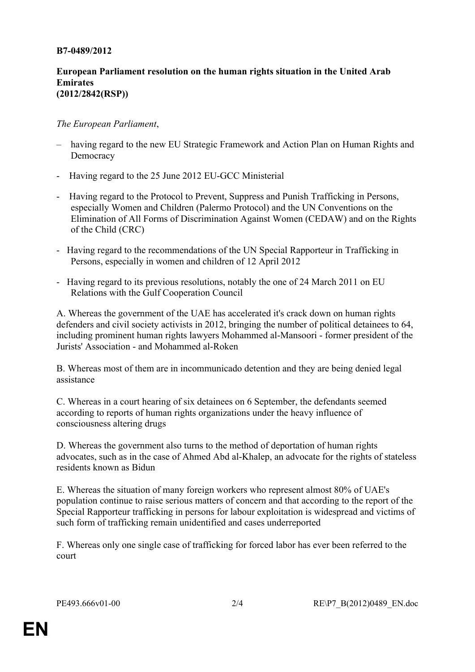## **B7-0489/2012**

## **European Parliament resolution on the human rights situation in the United Arab Emirates (2012/2842(RSP))**

## *The European Parliament*,

- having regard to the new EU Strategic Framework and Action Plan on Human Rights and **Democracy**
- Having regard to the 25 June 2012 EU-GCC Ministerial
- Having regard to the Protocol to Prevent, Suppress and Punish Trafficking in Persons, especially Women and Children (Palermo Protocol) and the UN Conventions on the Elimination of All Forms of Discrimination Against Women (CEDAW) and on the Rights of the Child (CRC)
- Having regard to the recommendations of the UN Special Rapporteur in Trafficking in Persons, especially in women and children of 12 April 2012
- Having regard to its previous resolutions, notably the one of 24 March 2011 on EU Relations with the Gulf Cooperation Council

A. Whereas the government of the UAE has accelerated it's crack down on human rights defenders and civil society activists in 2012, bringing the number of political detainees to 64, including prominent human rights lawyers Mohammed al-Mansoori - former president of the Jurists' Association - and Mohammed al-Roken

B. Whereas most of them are in incommunicado detention and they are being denied legal assistance

C. Whereas in a court hearing of six detainees on 6 September, the defendants seemed according to reports of human rights organizations under the heavy influence of consciousness altering drugs

D. Whereas the government also turns to the method of deportation of human rights advocates, such as in the case of Ahmed Abd al-Khalep, an advocate for the rights of stateless residents known as Bidun

E. Whereas the situation of many foreign workers who represent almost 80% of UAE's population continue to raise serious matters of concern and that according to the report of the Special Rapporteur trafficking in persons for labour exploitation is widespread and victims of such form of trafficking remain unidentified and cases underreported

F. Whereas only one single case of trafficking for forced labor has ever been referred to the court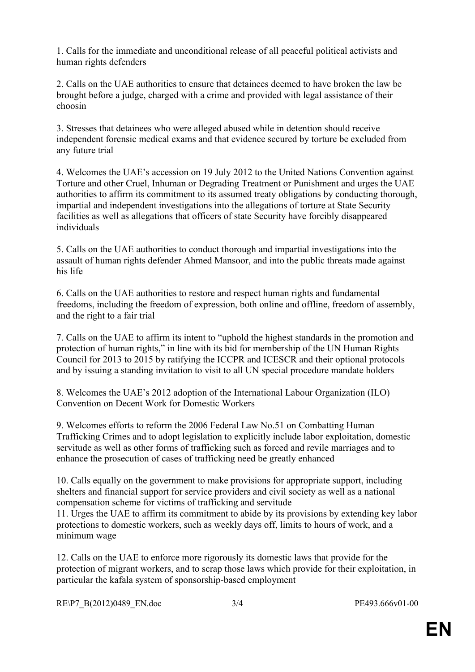1. Calls for the immediate and unconditional release of all peaceful political activists and human rights defenders

2. Calls on the UAE authorities to ensure that detainees deemed to have broken the law be brought before a judge, charged with a crime and provided with legal assistance of their choosin

3. Stresses that detainees who were alleged abused while in detention should receive independent forensic medical exams and that evidence secured by torture be excluded from any future trial

4. Welcomes the UAE's accession on 19 July 2012 to the United Nations Convention against Torture and other Cruel, Inhuman or Degrading Treatment or Punishment and urges the UAE authorities to affirm its commitment to its assumed treaty obligations by conducting thorough, impartial and independent investigations into the allegations of torture at State Security facilities as well as allegations that officers of state Security have forcibly disappeared individuals

5. Calls on the UAE authorities to conduct thorough and impartial investigations into the assault of human rights defender Ahmed Mansoor, and into the public threats made against his life

6. Calls on the UAE authorities to restore and respect human rights and fundamental freedoms, including the freedom of expression, both online and offline, freedom of assembly, and the right to a fair trial

7. Calls on the UAE to affirm its intent to "uphold the highest standards in the promotion and protection of human rights," in line with its bid for membership of the UN Human Rights Council for 2013 to 2015 by ratifying the ICCPR and ICESCR and their optional protocols and by issuing a standing invitation to visit to all UN special procedure mandate holders

8. Welcomes the UAE's 2012 adoption of the International Labour Organization (ILO) Convention on Decent Work for Domestic Workers

9. Welcomes efforts to reform the 2006 Federal Law No.51 on Combatting Human Trafficking Crimes and to adopt legislation to explicitly include labor exploitation, domestic servitude as well as other forms of trafficking such as forced and revile marriages and to enhance the prosecution of cases of trafficking need be greatly enhanced

10. Calls equally on the government to make provisions for appropriate support, including shelters and financial support for service providers and civil society as well as a national compensation scheme for victims of trafficking and servitude

11. Urges the UAE to affirm its commitment to abide by its provisions by extending key labor protections to domestic workers, such as weekly days off, limits to hours of work, and a minimum wage

12. Calls on the UAE to enforce more rigorously its domestic laws that provide for the protection of migrant workers, and to scrap those laws which provide for their exploitation, in particular the kafala system of sponsorship-based employment